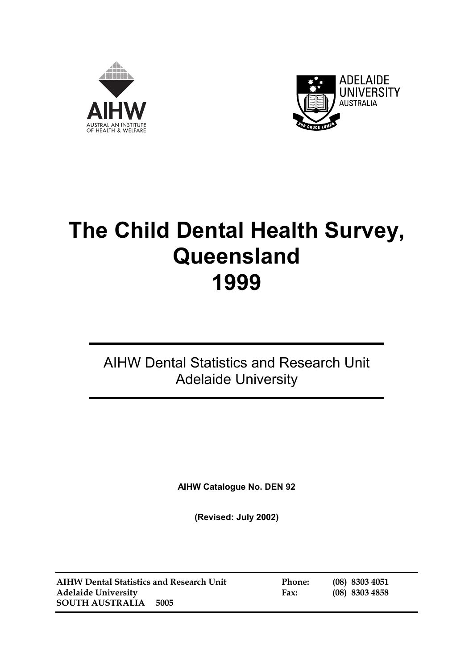



# **The Child Dental Health Survey, Queensland 1999**

## AIHW Dental Statistics and Research Unit Adelaide University

**AIHW Catalogue No. DEN 92** 

**(Revised: July 2002)** 

**AIHW Dental Statistics and Research Unit Phone: (08) 8303 4051 Adelaide University Fax: (08) 8303 4858 SOUTH AUSTRALIA 5005**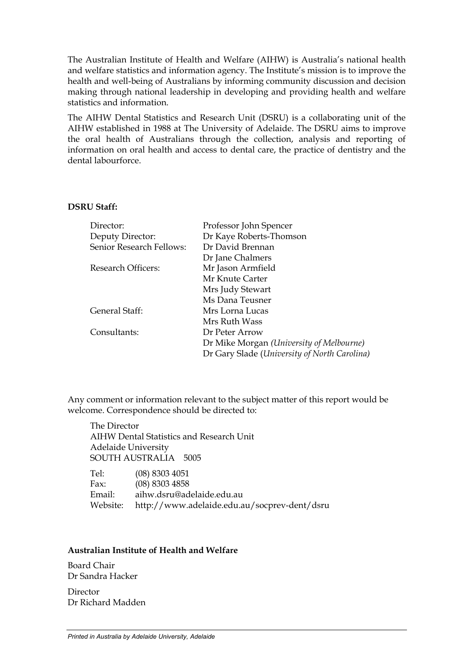The Australian Institute of Health and Welfare (AIHW) is Australia's national health and welfare statistics and information agency. The Institute's mission is to improve the health and well-being of Australians by informing community discussion and decision making through national leadership in developing and providing health and welfare statistics and information.

The AIHW Dental Statistics and Research Unit (DSRU) is a collaborating unit of the AIHW established in 1988 at The University of Adelaide. The DSRU aims to improve the oral health of Australians through the collection, analysis and reporting of information on oral health and access to dental care, the practice of dentistry and the dental labourforce.

#### **DSRU Staff:**

| Director:                | Professor John Spencer                       |
|--------------------------|----------------------------------------------|
| Deputy Director:         | Dr Kaye Roberts-Thomson                      |
| Senior Research Fellows: | Dr David Brennan                             |
|                          | Dr Jane Chalmers                             |
| Research Officers:       | Mr Jason Armfield                            |
|                          | Mr Knute Carter                              |
|                          | Mrs Judy Stewart                             |
|                          | Ms Dana Teusner                              |
| General Staff:           | Mrs Lorna Lucas                              |
|                          | Mrs Ruth Wass                                |
| Consultants:             | Dr Peter Arrow                               |
|                          | Dr Mike Morgan (University of Melbourne)     |
|                          | Dr Gary Slade (University of North Carolina) |
|                          |                                              |

Any comment or information relevant to the subject matter of this report would be welcome. Correspondence should be directed to:

The Director AIHW Dental Statistics and Research Unit Adelaide University SOUTH AUSTRALIA 5005

| Tel:     | $(08)$ 8303 4051                             |
|----------|----------------------------------------------|
| Fax:     | $(08)$ 8303 4858                             |
| Email:   | aihw.dsru@adelaide.edu.au                    |
| Website: | http://www.adelaide.edu.au/socprev-dent/dsru |

#### **Australian Institute of Health and Welfare**

Board Chair Dr Sandra Hacker

Director Dr Richard Madden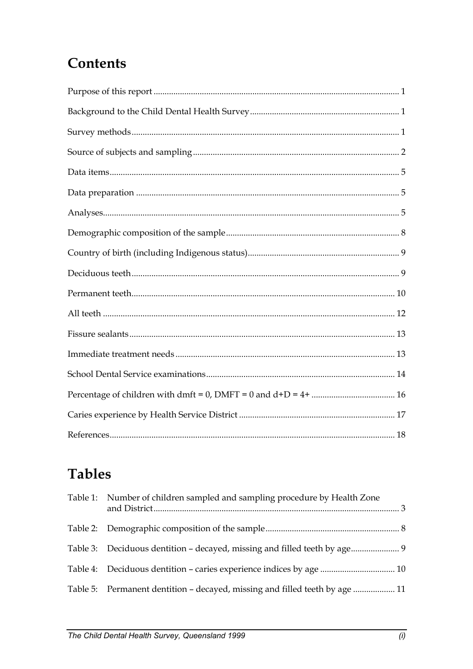# **Contents**

# **Tables**

| Table 1: Number of children sampled and sampling procedure by Health Zone   |  |
|-----------------------------------------------------------------------------|--|
|                                                                             |  |
|                                                                             |  |
|                                                                             |  |
| Table 5: Permanent dentition – decayed, missing and filled teeth by age  11 |  |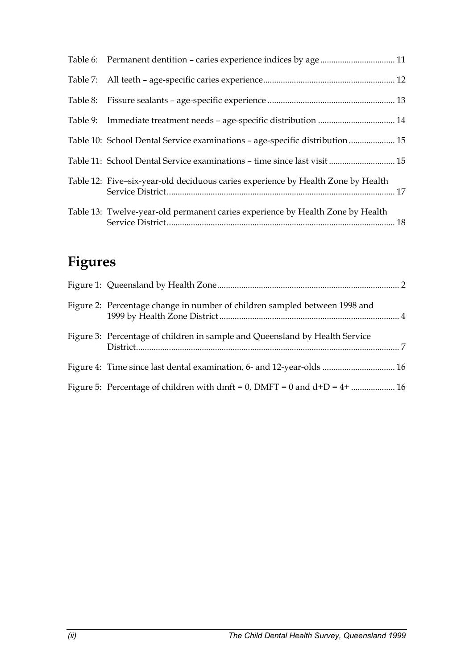| Table 9: Immediate treatment needs - age-specific distribution  14               |  |
|----------------------------------------------------------------------------------|--|
| Table 10: School Dental Service examinations - age-specific distribution  15     |  |
| Table 11: School Dental Service examinations - time since last visit  15         |  |
| Table 12: Five-six-year-old deciduous caries experience by Health Zone by Health |  |
| Table 13: Twelve-year-old permanent caries experience by Health Zone by Health   |  |

# **Figures**

| Figure 2: Percentage change in number of children sampled between 1998 and  |  |
|-----------------------------------------------------------------------------|--|
| Figure 3: Percentage of children in sample and Queensland by Health Service |  |
| Figure 4: Time since last dental examination, 6- and 12-year-olds  16       |  |
|                                                                             |  |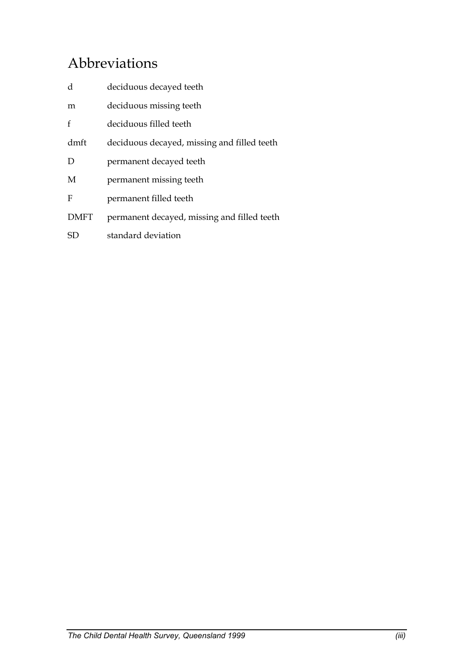# Abbreviations

| d           | deciduous decayed teeth                     |
|-------------|---------------------------------------------|
| m           | deciduous missing teeth                     |
| f           | deciduous filled teeth                      |
| dmft        | deciduous decayed, missing and filled teeth |
| D           | permanent decayed teeth                     |
| M           | permanent missing teeth                     |
| F           | permanent filled teeth                      |
| <b>DMFT</b> | permanent decayed, missing and filled teeth |
| SD          | standard deviation                          |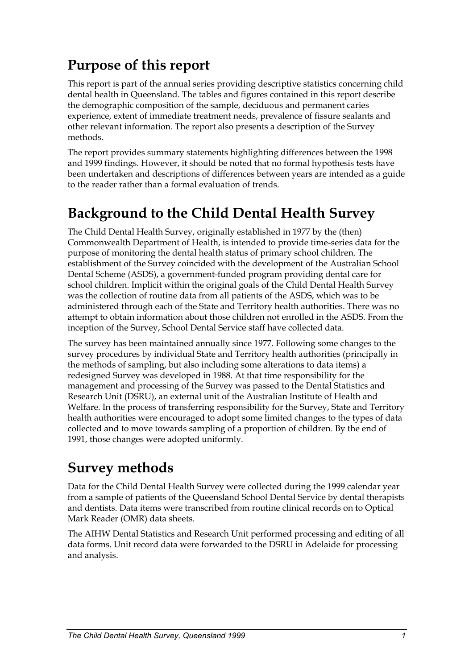# <span id="page-5-0"></span>**Purpose of this report**

This report is part of the annual series providing descriptive statistics concerning child dental health in Queensland. The tables and figures contained in this report describe the demographic composition of the sample, deciduous and permanent caries experience, extent of immediate treatment needs, prevalence of fissure sealants and other relevant information. The report also presents a description of the Survey methods.

The report provides summary statements highlighting differences between the 1998 and 1999 findings. However, it should be noted that no formal hypothesis tests have been undertaken and descriptions of differences between years are intended as a guide to the reader rather than a formal evaluation of trends.

# **Background to the Child Dental Health Survey**

The Child Dental Health Survey, originally established in 1977 by the (then) Commonwealth Department of Health, is intended to provide time-series data for the purpose of monitoring the dental health status of primary school children. The establishment of the Survey coincided with the development of the Australian School Dental Scheme (ASDS), a government-funded program providing dental care for school children. Implicit within the original goals of the Child Dental Health Survey was the collection of routine data from all patients of the ASDS, which was to be administered through each of the State and Territory health authorities. There was no attempt to obtain information about those children not enrolled in the ASDS. From the inception of the Survey, School Dental Service staff have collected data.

The survey has been maintained annually since 1977. Following some changes to the survey procedures by individual State and Territory health authorities (principally in the methods of sampling, but also including some alterations to data items) a redesigned Survey was developed in 1988. At that time responsibility for the management and processing of the Survey was passed to the Dental Statistics and Research Unit (DSRU), an external unit of the Australian Institute of Health and Welfare. In the process of transferring responsibility for the Survey, State and Territory health authorities were encouraged to adopt some limited changes to the types of data collected and to move towards sampling of a proportion of children. By the end of 1991, those changes were adopted uniformly.

# <span id="page-5-1"></span>**Survey methods**

Data for the Child Dental Health Survey were collected during the 1999 calendar year from a sample of patients of the Queensland School Dental Service by dental therapists and dentists. Data items were transcribed from routine clinical records on to Optical Mark Reader (OMR) data sheets.

The AIHW Dental Statistics and Research Unit performed processing and editing of all data forms. Unit record data were forwarded to the DSRU in Adelaide for processing and analysis.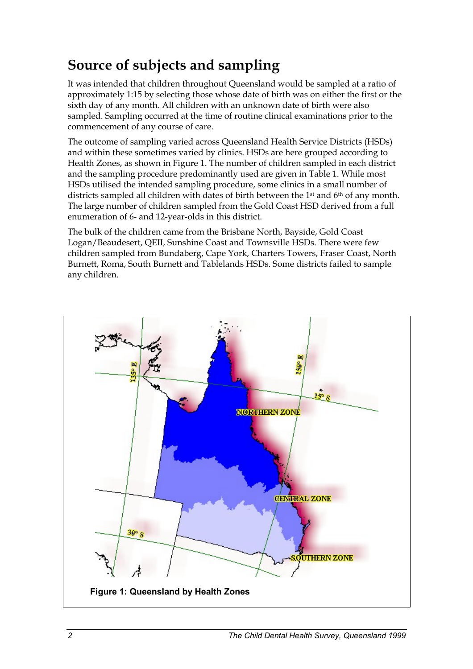# <span id="page-6-0"></span>**Source of subjects and sampling**

It was intended that children throughout Queensland would be sampled at a ratio of approximately 1:15 by selecting those whose date of birth was on either the first or the sixth day of any month. All children with an unknown date of birth were also sampled. Sampling occurred at the time of routine clinical examinations prior to the commencement of any course of care.

The outcome of sampling varied across Queensland Health Service Districts (HSDs) and within these sometimes varied by clinics. HSDs are here grouped according to Health Zones, as shown in Figure 1. The number of children sampled in each district and the sampling procedure predominantly used are given in Table 1. While most HSDs utilised the intended sampling procedure, some clinics in a small number of districts sampled all children with dates of birth between the 1st and 6th of any month. The large number of children sampled from the Gold Coast HSD derived from a full enumeration of 6- and 12-year-olds in this district.

The bulk of the children came from the Brisbane North, Bayside, Gold Coast Logan/Beaudesert, QEII, Sunshine Coast and Townsville HSDs. There were few children sampled from Bundaberg, Cape York, Charters Towers, Fraser Coast, North Burnett, Roma, South Burnett and Tablelands HSDs. Some districts failed to sample any children.

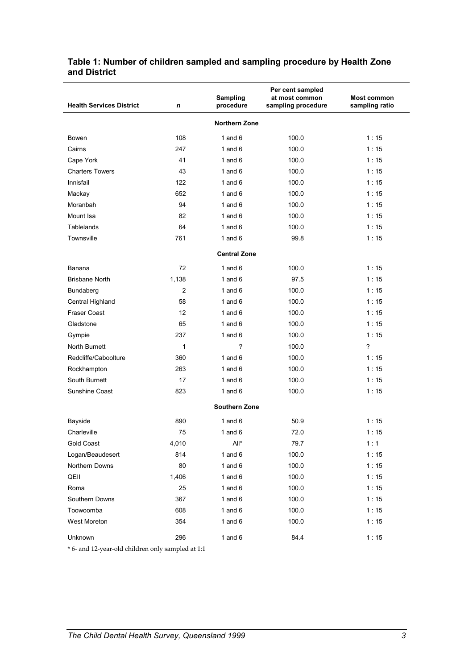| <b>Health Services District</b> | n              | <b>Sampling</b><br>procedure | Per cent sampled<br>at most common<br>sampling procedure | <b>Most common</b><br>sampling ratio |
|---------------------------------|----------------|------------------------------|----------------------------------------------------------|--------------------------------------|
|                                 |                | <b>Northern Zone</b>         |                                                          |                                      |
| Bowen                           | 108            | 1 and $6$                    | 100.0                                                    | 1:15                                 |
| Cairns                          | 247            | 1 and $6$                    | 100.0                                                    | 1:15                                 |
| Cape York                       | 41             | 1 and $6$                    | 100.0                                                    | 1:15                                 |
| <b>Charters Towers</b>          | 43             | 1 and $6$                    | 100.0                                                    | 1:15                                 |
| Innisfail                       | 122            | 1 and $6$                    | 100.0                                                    | 1:15                                 |
| Mackay                          | 652            | 1 and $6$                    | 100.0                                                    | 1:15                                 |
| Moranbah                        | 94             | 1 and $6$                    | 100.0                                                    | 1:15                                 |
| Mount Isa                       | 82             | 1 and $6$                    | 100.0                                                    | 1:15                                 |
| <b>Tablelands</b>               | 64             | 1 and $6$                    | 100.0                                                    | 1:15                                 |
| Townsville                      | 761            | 1 and $6$                    | 99.8                                                     | 1:15                                 |
|                                 |                | <b>Central Zone</b>          |                                                          |                                      |
|                                 |                |                              |                                                          |                                      |
| Banana<br><b>Brisbane North</b> | 72             | 1 and $6$                    | 100.0                                                    | 1:15                                 |
|                                 | 1,138          | 1 and $6$<br>1 and $6$       | 97.5                                                     | 1:15                                 |
| Bundaberg                       | $\overline{2}$ |                              | 100.0                                                    | 1:15                                 |
| Central Highland                | 58             | 1 and $6$                    | 100.0                                                    | 1:15                                 |
| Fraser Coast                    | 12             | 1 and $6$                    | 100.0                                                    | 1:15                                 |
| Gladstone                       | 65             | 1 and $6$                    | 100.0                                                    | 1:15                                 |
| Gympie                          | 237            | 1 and $6$                    | 100.0                                                    | 1:15                                 |
| North Burnett                   | $\mathbf{1}$   | ?                            | 100.0                                                    | $\overline{\phantom{a}}$             |
| Redcliffe/Caboolture            | 360            | 1 and $6$                    | 100.0                                                    | 1:15                                 |
| Rockhampton                     | 263            | 1 and $6$                    | 100.0                                                    | 1:15                                 |
| South Burnett                   | 17             | 1 and $6$                    | 100.0                                                    | 1:15                                 |
| Sunshine Coast                  | 823            | 1 and $6$                    | 100.0                                                    | 1:15                                 |
|                                 |                | <b>Southern Zone</b>         |                                                          |                                      |
| Bayside                         | 890            | 1 and $6$                    | 50.9                                                     | 1:15                                 |
| Charleville                     | 75             | 1 and $6$                    | 72.0                                                     | 1:15                                 |
| Gold Coast                      | 4,010          | All*                         | 79.7                                                     | 1:1                                  |
| Logan/Beaudesert                | 814            | 1 and $6$                    | 100.0                                                    | 1:15                                 |
| Northern Downs                  | 80             | 1 and $6$                    | 100.0                                                    | 1:15                                 |
| QEII                            | 1,406          | 1 and $6$                    | 100.0                                                    | 1:15                                 |
| Roma                            | 25             | 1 and $6$                    | 100.0                                                    | 1:15                                 |
| Southern Downs                  | 367            | 1 and $6$                    | 100.0                                                    | 1:15                                 |
| Toowoomba                       | 608            | 1 and $6$                    | 100.0                                                    | 1:15                                 |
| West Moreton                    | 354            | 1 and $6$                    | 100.0                                                    | 1:15                                 |
| Unknown                         | 296            | 1 and $6$                    | 84.4                                                     | 1:15                                 |

#### <span id="page-7-0"></span>**Table 1: Number of children sampled and sampling procedure by Health Zone and District**

\* 6- and 12-year-old children only sampled at 1:1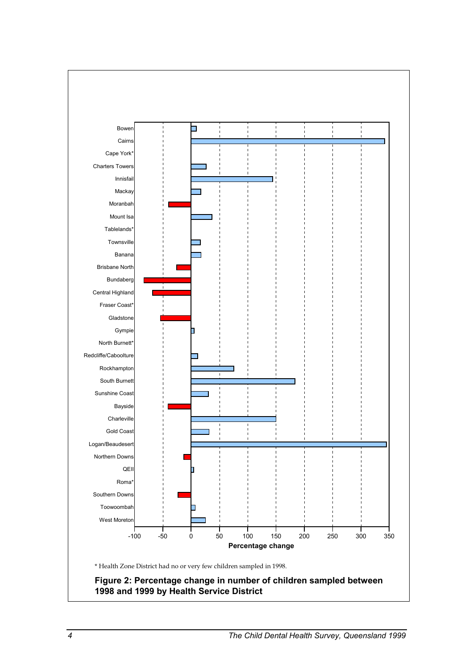

**1998 and 1999 by Health Service District**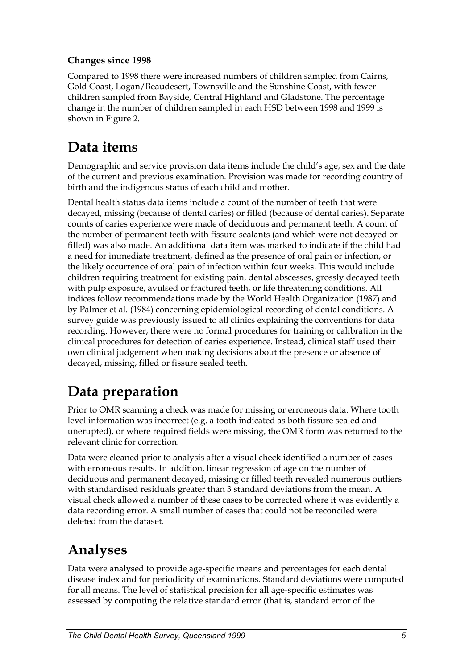#### **Changes since 1998**

Compared to 1998 there were increased numbers of children sampled from Cairns, Gold Coast, Logan/Beaudesert, Townsville and the Sunshine Coast, with fewer children sampled from Bayside, Central Highland and Gladstone. The percentage change in the number of children sampled in each HSD between 1998 and 1999 is shown in Figure 2.

### <span id="page-9-0"></span>**Data items**

Demographic and service provision data items include the child's age, sex and the date of the current and previous examination. Provision was made for recording country of birth and the indigenous status of each child and mother.

Dental health status data items include a count of the number of teeth that were decayed, missing (because of dental caries) or filled (because of dental caries). Separate counts of caries experience were made of deciduous and permanent teeth. A count of the number of permanent teeth with fissure sealants (and which were not decayed or filled) was also made. An additional data item was marked to indicate if the child had a need for immediate treatment, defined as the presence of oral pain or infection, or the likely occurrence of oral pain of infection within four weeks. This would include children requiring treatment for existing pain, dental abscesses, grossly decayed teeth with pulp exposure, avulsed or fractured teeth, or life threatening conditions. All indices follow recommendations made by the World Health Organization (1987) and by Palmer et al. (1984) concerning epidemiological recording of dental conditions. A survey guide was previously issued to all clinics explaining the conventions for data recording. However, there were no formal procedures for training or calibration in the clinical procedures for detection of caries experience. Instead, clinical staff used their own clinical judgement when making decisions about the presence or absence of decayed, missing, filled or fissure sealed teeth.

# **Data preparation**

Prior to OMR scanning a check was made for missing or erroneous data. Where tooth level information was incorrect (e.g. a tooth indicated as both fissure sealed and unerupted), or where required fields were missing, the OMR form was returned to the relevant clinic for correction.

Data were cleaned prior to analysis after a visual check identified a number of cases with erroneous results. In addition, linear regression of age on the number of deciduous and permanent decayed, missing or filled teeth revealed numerous outliers with standardised residuals greater than 3 standard deviations from the mean. A visual check allowed a number of these cases to be corrected where it was evidently a data recording error. A small number of cases that could not be reconciled were deleted from the dataset.

### **Analyses**

Data were analysed to provide age-specific means and percentages for each dental disease index and for periodicity of examinations. Standard deviations were computed for all means. The level of statistical precision for all age-specific estimates was assessed by computing the relative standard error (that is, standard error of the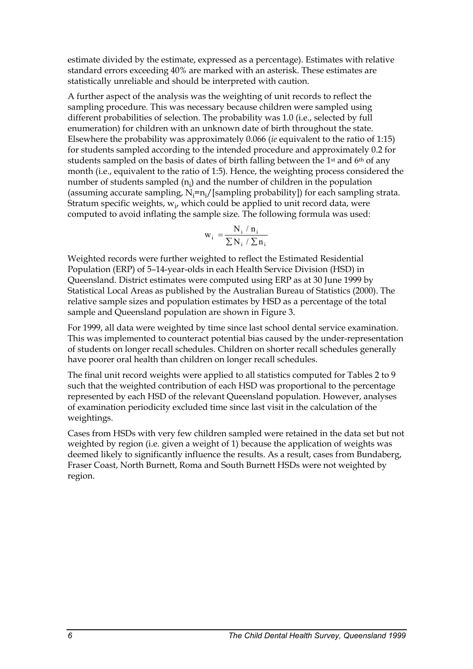estimate divided by the estimate, expressed as a percentage). Estimates with relative standard errors exceeding 40% are marked with an asterisk. These estimates are statistically unreliable and should be interpreted with caution.

A further aspect of the analysis was the weighting of unit records to reflect the sampling procedure. This was necessary because children were sampled using different probabilities of selection. The probability was 1.0 (i.e., selected by full enumeration) for children with an unknown date of birth throughout the state. Elsewhere the probability was approximately 0.066 (*ie* equivalent to the ratio of 1:15) for students sampled according to the intended procedure and approximately 0.2 for students sampled on the basis of dates of birth falling between the 1<sup>st</sup> and 6<sup>th</sup> of any month (i.e., equivalent to the ratio of 1:5). Hence, the weighting process considered the number of students sampled  $(n_i)$  and the number of children in the population (assuming accurate sampling,  $N_i = n_i / [sampling probability]$ ) for each sampling strata. Stratum specific weights,  $w_{i'}$  which could be applied to unit record data, were computed to avoid inflating the sample size. The following formula was used:

$$
w_i = \frac{N_i / n_i}{\sum N_i / \sum n_i}
$$

Weighted records were further weighted to reflect the Estimated Residential Population (ERP) of 5–14-year-olds in each Health Service Division (HSD) in Queensland. District estimates were computed using ERP as at 30 June 1999 by Statistical Local Areas as published by the Australian Bureau of Statistics (2000). The relative sample sizes and population estimates by HSD as a percentage of the total sample and Queensland population are shown in Figure 3.

For 1999, all data were weighted by time since last school dental service examination. This was implemented to counteract potential bias caused by the under-representation of students on longer recall schedules. Children on shorter recall schedules generally have poorer oral health than children on longer recall schedules.

The final unit record weights were applied to all statistics computed for Tables 2 to 9 such that the weighted contribution of each HSD was proportional to the percentage represented by each HSD of the relevant Queensland population. However, analyses of examination periodicity excluded time since last visit in the calculation of the weightings.

Cases from HSDs with very few children sampled were retained in the data set but not weighted by region (i.e. given a weight of 1) because the application of weights was deemed likely to significantly influence the results. As a result, cases from Bundaberg, Fraser Coast, North Burnett, Roma and South Burnett HSDs were not weighted by region.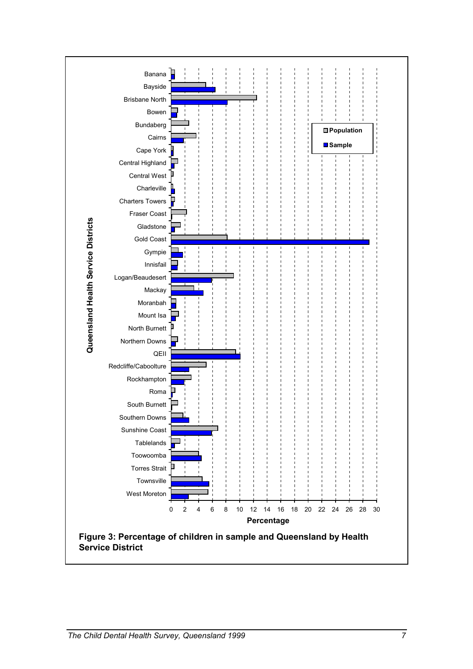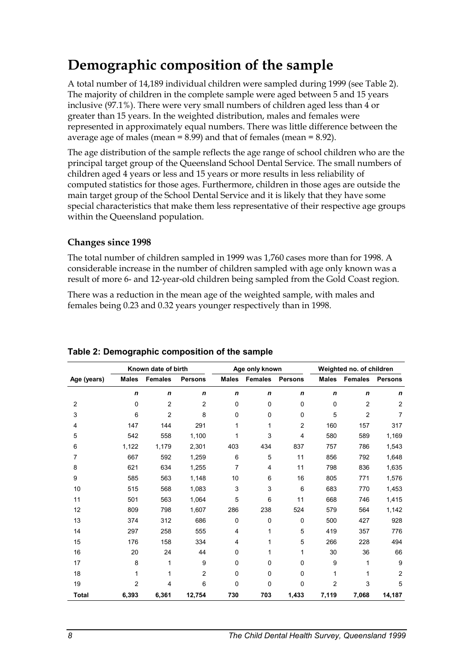### **Demographic composition of the sample**

A total number of 14,189 individual children were sampled during 1999 (see Table 2). The majority of children in the complete sample were aged between 5 and 15 years inclusive (97.1%). There were very small numbers of children aged less than 4 or greater than 15 years. In the weighted distribution, males and females were represented in approximately equal numbers. There was little difference between the average age of males (mean = 8.99) and that of females (mean = 8.92).

The age distribution of the sample reflects the age range of school children who are the principal target group of the Queensland School Dental Service. The small numbers of children aged 4 years or less and 15 years or more results in less reliability of computed statistics for those ages. Furthermore, children in those ages are outside the main target group of the School Dental Service and it is likely that they have some special characteristics that make them less representative of their respective age groups within the Queensland population.

#### **Changes since 1998**

The total number of children sampled in 1999 was 1,760 cases more than for 1998. A considerable increase in the number of children sampled with age only known was a result of more 6- and 12-year-old children being sampled from the Gold Coast region.

There was a reduction in the mean age of the weighted sample, with males and females being 0.23 and 0.32 years younger respectively than in 1998.

|                | Known date of birth |                |                |                | Age only known |                | Weighted no. of children |                |                |
|----------------|---------------------|----------------|----------------|----------------|----------------|----------------|--------------------------|----------------|----------------|
| Age (years)    | <b>Males</b>        | <b>Females</b> | <b>Persons</b> | <b>Males</b>   | <b>Females</b> | <b>Persons</b> | <b>Males</b>             | <b>Females</b> | <b>Persons</b> |
|                | n                   | $\mathbf n$    | $\mathbf n$    | $\mathbf n$    | $\mathbf n$    | n              | n                        | $\mathbf n$    | n              |
| $\overline{2}$ | 0                   | 2              | 2              | $\Omega$       | 0              | 0              | 0                        | $\overline{2}$ | $\overline{2}$ |
| 3              | 6                   | 2              | 8              | $\mathbf 0$    | 0              | 0              | 5                        | $\overline{2}$ | 7              |
| 4              | 147                 | 144            | 291            | 1              | 1              | 2              | 160                      | 157            | 317            |
| 5              | 542                 | 558            | 1,100          | 1              | 3              | 4              | 580                      | 589            | 1,169          |
| 6              | 1,122               | 1,179          | 2,301          | 403            | 434            | 837            | 757                      | 786            | 1,543          |
| 7              | 667                 | 592            | 1,259          | 6              | 5              | 11             | 856                      | 792            | 1,648          |
| 8              | 621                 | 634            | 1,255          | $\overline{7}$ | 4              | 11             | 798                      | 836            | 1,635          |
| 9              | 585                 | 563            | 1,148          | 10             | 6              | 16             | 805                      | 771            | 1,576          |
| 10             | 515                 | 568            | 1,083          | 3              | 3              | 6              | 683                      | 770            | 1,453          |
| 11             | 501                 | 563            | 1,064          | 5              | 6              | 11             | 668                      | 746            | 1,415          |
| 12             | 809                 | 798            | 1,607          | 286            | 238            | 524            | 579                      | 564            | 1,142          |
| 13             | 374                 | 312            | 686            | $\mathbf 0$    | 0              | 0              | 500                      | 427            | 928            |
| 14             | 297                 | 258            | 555            | 4              | 1              | 5              | 419                      | 357            | 776            |
| 15             | 176                 | 158            | 334            | 4              | 1              | 5              | 266                      | 228            | 494            |
| 16             | 20                  | 24             | 44             | 0              | 1              | 1              | 30                       | 36             | 66             |
| 17             | 8                   | 1              | 9              | $\Omega$       | $\Omega$       | 0              | 9                        | 1              | 9              |
| 18             | 1                   | 1              | $\overline{2}$ | $\mathbf 0$    | 0              | 0              | 1                        | 1              | $\overline{2}$ |
| 19             | $\overline{2}$      | 4              | 6              | $\mathbf 0$    | 0              | 0              | $\overline{2}$           | 3              | 5              |
| <b>Total</b>   | 6,393               | 6,361          | 12,754         | 730            | 703            | 1,433          | 7,119                    | 7,068          | 14,187         |

#### <span id="page-12-0"></span>**Table 2: Demographic composition of the sample**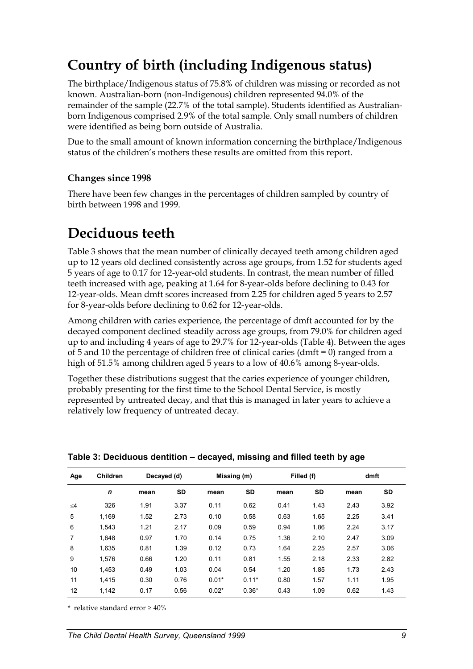# <span id="page-13-0"></span>**Country of birth (including Indigenous status)**

The birthplace/Indigenous status of 75.8% of children was missing or recorded as not known. Australian-born (non-Indigenous) children represented 94.0% of the remainder of the sample (22.7% of the total sample). Students identified as Australianborn Indigenous comprised 2.9% of the total sample. Only small numbers of children were identified as being born outside of Australia.

Due to the small amount of known information concerning the birthplace/Indigenous status of the children's mothers these results are omitted from this report.

#### **Changes since 1998**

There have been few changes in the percentages of children sampled by country of birth between 1998 and 1999.

# <span id="page-13-1"></span>**Deciduous teeth**

Table 3 shows that the mean number of clinically decayed teeth among children aged up to 12 years old declined consistently across age groups, from 1.52 for students aged 5 years of age to 0.17 for 12-year-old students. In contrast, the mean number of filled teeth increased with age, peaking at 1.64 for 8-year-olds before declining to 0.43 for 12-year-olds. Mean dmft scores increased from 2.25 for children aged 5 years to 2.57 for 8-year-olds before declining to 0.62 for 12-year-olds.

Among children with caries experience, the percentage of dmft accounted for by the decayed component declined steadily across age groups, from 79.0% for children aged up to and including 4 years of age to 29.7% for 12-year-olds (Table 4). Between the ages of 5 and 10 the percentage of children free of clinical caries (dmft = 0) ranged from a high of 51.5% among children aged 5 years to a low of 40.6% among 8-year-olds.

Together these distributions suggest that the caries experience of younger children, probably presenting for the first time to the School Dental Service, is mostly represented by untreated decay, and that this is managed in later years to achieve a relatively low frequency of untreated decay.

| Age      | <b>Children</b> | Decayed (d) |           | Missing (m) |           | Filled (f) |           | dmft |           |
|----------|-----------------|-------------|-----------|-------------|-----------|------------|-----------|------|-----------|
|          | $\mathbf n$     | mean        | <b>SD</b> | mean        | <b>SD</b> | mean       | <b>SD</b> | mean | <b>SD</b> |
| $\leq 4$ | 326             | 1.91        | 3.37      | 0.11        | 0.62      | 0.41       | 1.43      | 2.43 | 3.92      |
| 5        | 1.169           | 1.52        | 2.73      | 0.10        | 0.58      | 0.63       | 1.65      | 2.25 | 3.41      |
| 6        | 1.543           | 1.21        | 2.17      | 0.09        | 0.59      | 0.94       | 1.86      | 2.24 | 3.17      |
| 7        | 1.648           | 0.97        | 1.70      | 0.14        | 0.75      | 1.36       | 2.10      | 2.47 | 3.09      |
| 8        | 1.635           | 0.81        | 1.39      | 0.12        | 0.73      | 1.64       | 2.25      | 2.57 | 3.06      |
| 9        | 1.576           | 0.66        | 1.20      | 0.11        | 0.81      | 1.55       | 2.18      | 2.33 | 2.82      |
| 10       | 1.453           | 0.49        | 1.03      | 0.04        | 0.54      | 1.20       | 1.85      | 1.73 | 2.43      |
| 11       | 1.415           | 0.30        | 0.76      | $0.01*$     | $0.11*$   | 0.80       | 1.57      | 1.11 | 1.95      |
| 12       | 1,142           | 0.17        | 0.56      | $0.02*$     | $0.36*$   | 0.43       | 1.09      | 0.62 | 1.43      |

**Table 3: Deciduous dentition – decayed, missing and filled teeth by age** 

 $*$  relative standard error  $> 40\%$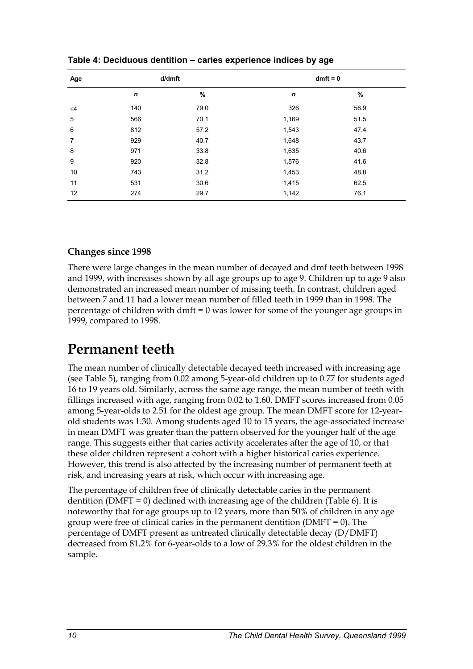| Age            |     | d/dmft | $dmft = 0$   |      |  |  |
|----------------|-----|--------|--------------|------|--|--|
|                | n   | $\%$   | $\mathsf{n}$ | %    |  |  |
| $\leq 4$       | 140 | 79.0   | 326          | 56.9 |  |  |
| 5              | 566 | 70.1   | 1,169        | 51.5 |  |  |
| 6              | 812 | 57.2   | 1,543        | 47.4 |  |  |
| $\overline{7}$ | 929 | 40.7   | 1,648        | 43.7 |  |  |
| 8              | 971 | 33.8   | 1,635        | 40.6 |  |  |
| 9              | 920 | 32.8   | 1,576        | 41.6 |  |  |
| 10             | 743 | 31.2   | 1,453        | 48.8 |  |  |
| 11             | 531 | 30.6   | 1,415        | 62.5 |  |  |
| 12             | 274 | 29.7   | 1,142        | 76.1 |  |  |

**Table 4: Deciduous dentition – caries experience indices by age** 

#### **Changes since 1998**

There were large changes in the mean number of decayed and dmf teeth between 1998 and 1999, with increases shown by all age groups up to age 9. Children up to age 9 also demonstrated an increased mean number of missing teeth. In contrast, children aged between 7 and 11 had a lower mean number of filled teeth in 1999 than in 1998. The percentage of children with dmft = 0 was lower for some of the younger age groups in 1999, compared to 1998.

### <span id="page-14-0"></span>**Permanent teeth**

The mean number of clinically detectable decayed teeth increased with increasing age (see Table 5), ranging from 0.02 among 5-year-old children up to 0.77 for students aged 16 to 19 years old. Similarly, across the same age range, the mean number of teeth with fillings increased with age, ranging from 0.02 to 1.60. DMFT scores increased from 0.05 among 5-year-olds to 2.51 for the oldest age group. The mean DMFT score for 12-yearold students was 1.30. Among students aged 10 to 15 years, the age-associated increase in mean DMFT was greater than the pattern observed for the younger half of the age range. This suggests either that caries activity accelerates after the age of 10, or that these older children represent a cohort with a higher historical caries experience. However, this trend is also affected by the increasing number of permanent teeth at risk, and increasing years at risk, which occur with increasing age.

The percentage of children free of clinically detectable caries in the permanent dentition (DMFT = 0) declined with increasing age of the children (Table 6). It is noteworthy that for age groups up to 12 years, more than 50% of children in any age group were free of clinical caries in the permanent dentition (DMFT = 0). The percentage of DMFT present as untreated clinically detectable decay (D/DMFT) decreased from 81.2% for 6-year-olds to a low of 29.3% for the oldest children in the sample.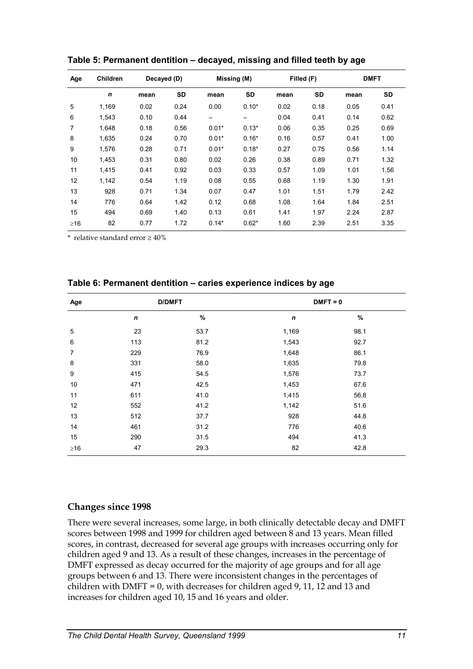| Age       | <b>Children</b> | Decayed (D) |      | Missing (M) |                   | Filled (F) |           | <b>DMFT</b> |      |
|-----------|-----------------|-------------|------|-------------|-------------------|------------|-----------|-------------|------|
|           | $\mathbf n$     | mean        | SD   | mean        | SD                | mean       | <b>SD</b> | mean        | SD   |
| 5         | 1,169           | 0.02        | 0.24 | 0.00        | $0.10*$           | 0.02       | 0.18      | 0.05        | 0.41 |
| 6         | 1.543           | 0.10        | 0.44 |             | $\qquad \qquad -$ | 0.04       | 0.41      | 0.14        | 0.62 |
| 7         | 1,648           | 0.18        | 0.56 | $0.01*$     | $0.13*$           | 0.06       | 0.35      | 0.25        | 0.69 |
| 8         | 1,635           | 0.24        | 0.70 | $0.01*$     | $0.16*$           | 0.16       | 0.57      | 0.41        | 1.00 |
| 9         | 1.576           | 0.28        | 0.71 | $0.01*$     | $0.18*$           | 0.27       | 0.75      | 0.56        | 1.14 |
| 10        | 1,453           | 0.31        | 0.80 | 0.02        | 0.26              | 0.38       | 0.89      | 0.71        | 1.32 |
| 11        | 1,415           | 0.41        | 0.92 | 0.03        | 0.33              | 0.57       | 1.09      | 1.01        | 1.56 |
| 12        | 1,142           | 0.54        | 1.19 | 0.08        | 0.55              | 0.68       | 1.19      | 1.30        | 1.91 |
| 13        | 928             | 0.71        | 1.34 | 0.07        | 0.47              | 1.01       | 1.51      | 1.79        | 2.42 |
| 14        | 776             | 0.64        | 1.42 | 0.12        | 0.68              | 1.08       | 1.64      | 1.84        | 2.51 |
| 15        | 494             | 0.69        | 1.40 | 0.13        | 0.61              | 1.41       | 1.97      | 2.24        | 2.87 |
| $\geq$ 16 | 82              | 0.77        | 1.72 | $0.14*$     | $0.62*$           | 1.60       | 2.39      | 2.51        | 3.35 |

**Table 5: Permanent dentition – decayed, missing and filled teeth by age** 

\* relative standard error  $\geq 40\%$ 

| Age            | <b>D/DMFT</b>    |      | $DMFT = 0$       |      |  |  |
|----------------|------------------|------|------------------|------|--|--|
|                | $\boldsymbol{n}$ | $\%$ | $\boldsymbol{n}$ | %    |  |  |
| 5              | 23               | 53.7 | 1,169            | 98.1 |  |  |
| 6              | 113              | 81.2 | 1,543            | 92.7 |  |  |
| $\overline{7}$ | 229              | 76.9 | 1,648            | 86.1 |  |  |
| 8              | 331              | 58.0 | 1,635            | 79.8 |  |  |
| 9              | 415              | 54.5 | 1,576            | 73.7 |  |  |
| 10             | 471              | 42.5 | 1,453            | 67.6 |  |  |
| 11             | 611              | 41.0 | 1,415            | 56.8 |  |  |
| 12             | 552              | 41.2 | 1,142            | 51.6 |  |  |
| 13             | 512              | 37.7 | 928              | 44.8 |  |  |
| 14             | 461              | 31.2 | 776              | 40.6 |  |  |
| 15             | 290              | 31.5 | 494              | 41.3 |  |  |
| $\geq$ 16      | 47               | 29.3 | 82               | 42.8 |  |  |

**Table 6: Permanent dentition – caries experience indices by age** 

#### **Changes since 1998**

There were several increases, some large, in both clinically detectable decay and DMFT scores between 1998 and 1999 for children aged between 8 and 13 years. Mean filled scores, in contrast, decreased for several age groups with increases occurring only for children aged 9 and 13. As a result of these changes, increases in the percentage of DMFT expressed as decay occurred for the majority of age groups and for all age groups between 6 and 13. There were inconsistent changes in the percentages of children with DMFT = 0, with decreases for children aged 9, 11, 12 and 13 and increases for children aged 10, 15 and 16 years and older.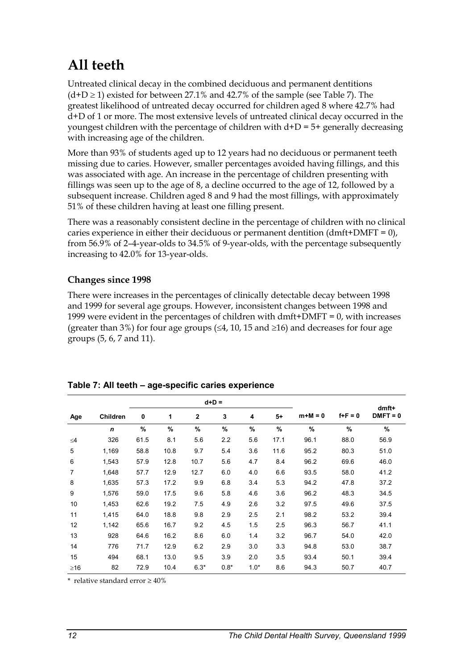# **All teeth**

Untreated clinical decay in the combined deciduous and permanent dentitions  $(d+D \ge 1)$  existed for between 27.1% and 42.7% of the sample (see Table 7). The greatest likelihood of untreated decay occurred for children aged 8 where 42.7% had d+D of 1 or more. The most extensive levels of untreated clinical decay occurred in the youngest children with the percentage of children with d+D = 5+ generally decreasing with increasing age of the children.

More than 93% of students aged up to 12 years had no deciduous or permanent teeth missing due to caries. However, smaller percentages avoided having fillings, and this was associated with age. An increase in the percentage of children presenting with fillings was seen up to the age of 8, a decline occurred to the age of 12, followed by a subsequent increase. Children aged 8 and 9 had the most fillings, with approximately 51% of these children having at least one filling present.

There was a reasonably consistent decline in the percentage of children with no clinical caries experience in either their deciduous or permanent dentition  $(dmft+DMFT = 0)$ , from 56.9% of 2–4-year-olds to 34.5% of 9-year-olds, with the percentage subsequently increasing to 42.0% for 13-year-olds.

#### **Changes since 1998**

There were increases in the percentages of clinically detectable decay between 1998 and 1999 for several age groups. However, inconsistent changes between 1998 and 1999 were evident in the percentages of children with dmft+DMFT = 0, with increases (greater than 3%) for four age groups ( $\leq 4$ , 10, 15 and  $\geq 16$ ) and decreases for four age groups (5, 6, 7 and 11).

|                |                 |               | $d+D =$ |              |               |        |               |           |         |                     |
|----------------|-----------------|---------------|---------|--------------|---------------|--------|---------------|-----------|---------|---------------------|
| Age            | <b>Children</b> | 0             | 1       | $\mathbf{2}$ | 3             | 4      | $5+$          | $m+M = 0$ | $f+F=0$ | dmft+<br>$DMFT = 0$ |
|                | $\mathbf n$     | $\frac{9}{6}$ | %       | $\%$         | $\frac{9}{6}$ | $\%$   | $\frac{9}{6}$ | $\%$      | %       | %                   |
| $\leq$ 4       | 326             | 61.5          | 8.1     | 5.6          | 2.2           | 5.6    | 17.1          | 96.1      | 88.0    | 56.9                |
| 5              | 1,169           | 58.8          | 10.8    | 9.7          | 5.4           | 3.6    | 11.6          | 95.2      | 80.3    | 51.0                |
| 6              | 1,543           | 57.9          | 12.8    | 10.7         | 5.6           | 4.7    | 8.4           | 96.2      | 69.6    | 46.0                |
| $\overline{7}$ | 1,648           | 57.7          | 12.9    | 12.7         | 6.0           | 4.0    | 6.6           | 93.5      | 58.0    | 41.2                |
| 8              | 1,635           | 57.3          | 17.2    | 9.9          | 6.8           | 3.4    | 5.3           | 94.2      | 47.8    | 37.2                |
| 9              | 1,576           | 59.0          | 17.5    | 9.6          | 5.8           | 4.6    | 3.6           | 96.2      | 48.3    | 34.5                |
| 10             | 1,453           | 62.6          | 19.2    | 7.5          | 4.9           | 2.6    | 3.2           | 97.5      | 49.6    | 37.5                |
| 11             | 1,415           | 64.0          | 18.8    | 9.8          | 2.9           | 2.5    | 2.1           | 98.2      | 53.2    | 39.4                |
| 12             | 1,142           | 65.6          | 16.7    | 9.2          | 4.5           | 1.5    | 2.5           | 96.3      | 56.7    | 41.1                |
| 13             | 928             | 64.6          | 16.2    | 8.6          | 6.0           | 1.4    | 3.2           | 96.7      | 54.0    | 42.0                |
| 14             | 776             | 71.7          | 12.9    | 6.2          | 2.9           | 3.0    | 3.3           | 94.8      | 53.0    | 38.7                |
| 15             | 494             | 68.1          | 13.0    | 9.5          | 3.9           | 2.0    | 3.5           | 93.4      | 50.1    | 39.4                |
| $\geq$ 16      | 82              | 72.9          | 10.4    | $6.3*$       | $0.8*$        | $1.0*$ | 8.6           | 94.3      | 50.7    | 40.7                |

<span id="page-16-0"></span>**Table 7: All teeth – age-specific caries experience** 

 $*$  relative standard error  $>40\%$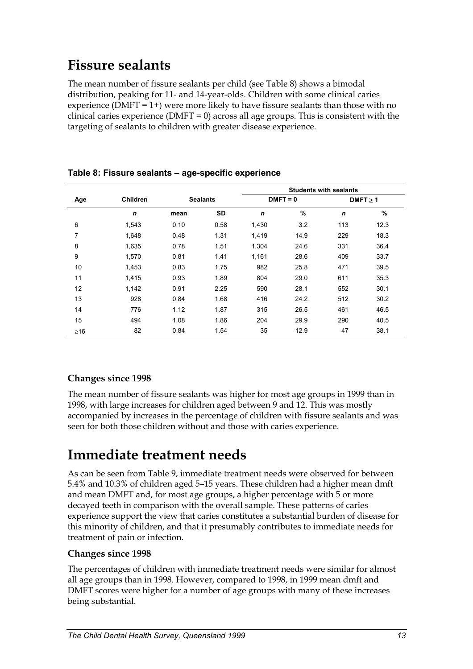## **Fissure sealants**

The mean number of fissure sealants per child (see Table 8) shows a bimodal distribution, peaking for 11- and 14-year-olds. Children with some clinical caries experience (DMFT =  $1+$ ) were more likely to have fissure sealants than those with no clinical caries experience (DMFT =  $0$ ) across all age groups. This is consistent with the targeting of sealants to children with greater disease experience.

|           |                 |      |                 | <b>Students with sealants</b> |            |               |      |  |
|-----------|-----------------|------|-----------------|-------------------------------|------------|---------------|------|--|
| Age       | <b>Children</b> |      | <b>Sealants</b> |                               | $DMFT = 0$ | $DMFT \geq 1$ |      |  |
|           | $\mathbf n$     | mean | <b>SD</b>       | $\mathbf n$                   | %          | $\mathbf n$   | %    |  |
| 6         | 1,543           | 0.10 | 0.58            | 1,430                         | 3.2        | 113           | 12.3 |  |
| 7         | 1,648           | 0.48 | 1.31            | 1,419                         | 14.9       | 229           | 18.3 |  |
| 8         | 1,635           | 0.78 | 1.51            | 1,304                         | 24.6       | 331           | 36.4 |  |
| 9         | 1,570           | 0.81 | 1.41            | 1,161                         | 28.6       | 409           | 33.7 |  |
| 10        | 1,453           | 0.83 | 1.75            | 982                           | 25.8       | 471           | 39.5 |  |
| 11        | 1,415           | 0.93 | 1.89            | 804                           | 29.0       | 611           | 35.3 |  |
| 12        | 1,142           | 0.91 | 2.25            | 590                           | 28.1       | 552           | 30.1 |  |
| 13        | 928             | 0.84 | 1.68            | 416                           | 24.2       | 512           | 30.2 |  |
| 14        | 776             | 1.12 | 1.87            | 315                           | 26.5       | 461           | 46.5 |  |
| 15        | 494             | 1.08 | 1.86            | 204                           | 29.9       | 290           | 40.5 |  |
| $\geq 16$ | 82              | 0.84 | 1.54            | 35                            | 12.9       | 47            | 38.1 |  |

#### **Table 8: Fissure sealants – age-specific experience**

#### **Changes since 1998**

The mean number of fissure sealants was higher for most age groups in 1999 than in 1998, with large increases for children aged between 9 and 12. This was mostly accompanied by increases in the percentage of children with fissure sealants and was seen for both those children without and those with caries experience.

### **Immediate treatment needs**

As can be seen from Table 9, immediate treatment needs were observed for between 5.4% and 10.3% of children aged 5–15 years. These children had a higher mean dmft and mean DMFT and, for most age groups, a higher percentage with 5 or more decayed teeth in comparison with the overall sample. These patterns of caries experience support the view that caries constitutes a substantial burden of disease for this minority of children, and that it presumably contributes to immediate needs for treatment of pain or infection.

#### **Changes since 1998**

The percentages of children with immediate treatment needs were similar for almost all age groups than in 1998. However, compared to 1998, in 1999 mean dmft and DMFT scores were higher for a number of age groups with many of these increases being substantial.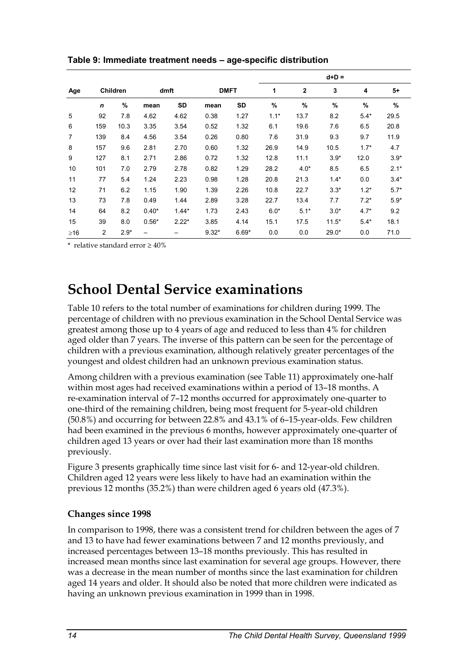|           |                |                 |         |         |         |             |        |              | $d+D =$ |        |        |
|-----------|----------------|-----------------|---------|---------|---------|-------------|--------|--------------|---------|--------|--------|
| Age       |                | <b>Children</b> |         | dmft    |         | <b>DMFT</b> | 1      | $\mathbf{2}$ | 3       | 4      | 5+     |
|           | $\mathsf{n}$   | %               | mean    | SD      | mean    | SD          | %      | %            | $\%$    | %      | %      |
| 5         | 92             | 7.8             | 4.62    | 4.62    | 0.38    | 1.27        | $1.1*$ | 13.7         | 8.2     | $5.4*$ | 29.5   |
| 6         | 159            | 10.3            | 3.35    | 3.54    | 0.52    | 1.32        | 6.1    | 19.6         | 7.6     | 6.5    | 20.8   |
| 7         | 139            | 8.4             | 4.56    | 3.54    | 0.26    | 0.80        | 7.6    | 31.9         | 9.3     | 9.7    | 11.9   |
| 8         | 157            | 9.6             | 2.81    | 2.70    | 0.60    | 1.32        | 26.9   | 14.9         | 10.5    | $1.7*$ | 4.7    |
| 9         | 127            | 8.1             | 2.71    | 2.86    | 0.72    | 1.32        | 12.8   | 11.1         | $3.9*$  | 12.0   | $3.9*$ |
| 10        | 101            | 7.0             | 2.79    | 2.78    | 0.82    | 1.29        | 28.2   | $4.0*$       | 8.5     | 6.5    | $2.1*$ |
| 11        | 77             | 5.4             | 1.24    | 2.23    | 0.98    | 1.28        | 20.8   | 21.3         | $1.4*$  | 0.0    | $3.4*$ |
| 12        | 71             | 6.2             | 1.15    | 1.90    | 1.39    | 2.26        | 10.8   | 22.7         | $3.3*$  | $1.2*$ | $5.7*$ |
| 13        | 73             | 7.8             | 0.49    | 1.44    | 2.89    | 3.28        | 22.7   | 13.4         | 7.7     | $7.2*$ | $5.9*$ |
| 14        | 64             | 8.2             | $0.40*$ | $1.44*$ | 1.73    | 2.43        | $6.0*$ | $5.1*$       | $3.0*$  | $4.7*$ | 9.2    |
| 15        | 39             | 8.0             | $0.56*$ | $2.22*$ | 3.85    | 4.14        | 15.1   | 17.5         | $11.5*$ | $5.4*$ | 18.1   |
| $\geq$ 16 | $\overline{c}$ | $2.9*$          |         |         | $9.32*$ | $6.69*$     | 0.0    | 0.0          | $29.0*$ | 0.0    | 71.0   |

<span id="page-18-0"></span>**Table 9: Immediate treatment needs – age-specific distribution** 

\* relative standard error  $\geq 40\%$ 

### **School Dental Service examinations**

Table 10 refers to the total number of examinations for children during 1999. The percentage of children with no previous examination in the School Dental Service was greatest among those up to 4 years of age and reduced to less than 4% for children aged older than 7 years. The inverse of this pattern can be seen for the percentage of children with a previous examination, although relatively greater percentages of the youngest and oldest children had an unknown previous examination status.

Among children with a previous examination (see Table 11) approximately one-half within most ages had received examinations within a period of 13–18 months. A re-examination interval of 7–12 months occurred for approximately one-quarter to one-third of the remaining children, being most frequent for 5-year-old children (50.8%) and occurring for between 22.8% and 43.1% of 6–15-year-olds. Few children had been examined in the previous 6 months, however approximately one-quarter of children aged 13 years or over had their last examination more than 18 months previously.

Figure 3 presents graphically time since last visit for 6- and 12-year-old children. Children aged 12 years were less likely to have had an examination within the previous 12 months (35.2%) than were children aged 6 years old (47.3%).

#### **Changes since 1998**

In comparison to 1998, there was a consistent trend for children between the ages of 7 and 13 to have had fewer examinations between 7 and 12 months previously, and increased percentages between 13–18 months previously. This has resulted in increased mean months since last examination for several age groups. However, there was a decrease in the mean number of months since the last examination for children aged 14 years and older. It should also be noted that more children were indicated as having an unknown previous examination in 1999 than in 1998.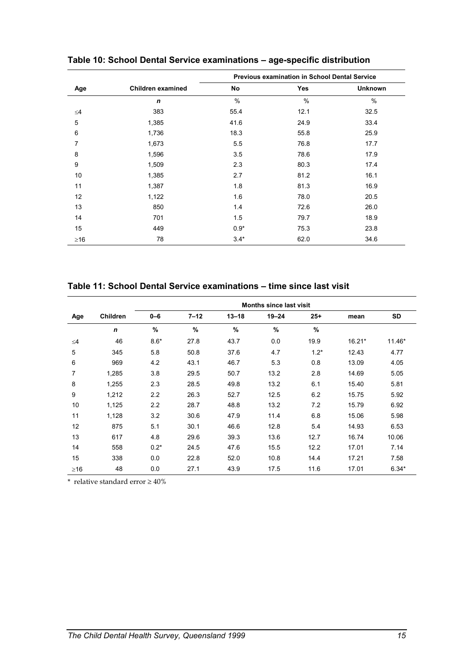|             |                   | <b>Previous examination in School Dental Service</b> |               |                |  |  |
|-------------|-------------------|------------------------------------------------------|---------------|----------------|--|--|
| Age         | Children examined | No                                                   | Yes           | <b>Unknown</b> |  |  |
|             | $\mathbf n$       | $\frac{0}{0}$                                        | $\frac{0}{0}$ | $\frac{0}{0}$  |  |  |
| $\leq 4$    | 383               | 55.4                                                 | 12.1          | 32.5           |  |  |
| $\mathbf 5$ | 1,385             | 41.6                                                 | 24.9          | 33.4           |  |  |
| 6           | 1,736             | 18.3                                                 | 55.8          | 25.9           |  |  |
| 7           | 1,673             | 5.5                                                  | 76.8          | 17.7           |  |  |
| 8           | 1,596             | 3.5                                                  | 78.6          | 17.9           |  |  |
| 9           | 1,509             | 2.3                                                  | 80.3          | 17.4           |  |  |
| 10          | 1,385             | 2.7                                                  | 81.2          | 16.1           |  |  |
| 11          | 1,387             | 1.8                                                  | 81.3          | 16.9           |  |  |
| 12          | 1,122             | 1.6                                                  | 78.0          | 20.5           |  |  |
| 13          | 850               | 1.4                                                  | 72.6          | 26.0           |  |  |
| 14          | 701               | 1.5                                                  | 79.7          | 18.9           |  |  |
| 15          | 449               | $0.9*$                                               | 75.3          | 23.8           |  |  |
| $\geq 16$   | 78                | $3.4*$                                               | 62.0          | 34.6           |  |  |

**Table 10: School Dental Service examinations – age-specific distribution** 

**Table 11: School Dental Service examinations – time since last visit** 

|           |                 | <b>Months since last visit</b> |               |           |               |        |        |           |  |
|-----------|-----------------|--------------------------------|---------------|-----------|---------------|--------|--------|-----------|--|
| Age       | <b>Children</b> | $0 - 6$                        | $7 - 12$      | $13 - 18$ | $19 - 24$     | $25 +$ | mean   | <b>SD</b> |  |
|           | $\mathbf n$     | $\%$                           | $\frac{9}{6}$ | %         | $\frac{9}{6}$ | $\%$   |        |           |  |
| ≤4        | 46              | $8.6*$                         | 27.8          | 43.7      | 0.0           | 19.9   | 16.21* | 11.46*    |  |
| 5         | 345             | 5.8                            | 50.8          | 37.6      | 4.7           | $1.2*$ | 12.43  | 4.77      |  |
| 6         | 969             | 4.2                            | 43.1          | 46.7      | 5.3           | 0.8    | 13.09  | 4.05      |  |
| 7         | 1,285           | 3.8                            | 29.5          | 50.7      | 13.2          | 2.8    | 14.69  | 5.05      |  |
| 8         | 1,255           | 2.3                            | 28.5          | 49.8      | 13.2          | 6.1    | 15.40  | 5.81      |  |
| 9         | 1,212           | 2.2                            | 26.3          | 52.7      | 12.5          | 6.2    | 15.75  | 5.92      |  |
| 10        | 1,125           | 2.2                            | 28.7          | 48.8      | 13.2          | 7.2    | 15.79  | 6.92      |  |
| 11        | 1,128           | 3.2                            | 30.6          | 47.9      | 11.4          | 6.8    | 15.06  | 5.98      |  |
| 12        | 875             | 5.1                            | 30.1          | 46.6      | 12.8          | 5.4    | 14.93  | 6.53      |  |
| 13        | 617             | 4.8                            | 29.6          | 39.3      | 13.6          | 12.7   | 16.74  | 10.06     |  |
| 14        | 558             | $0.2*$                         | 24.5          | 47.6      | 15.5          | 12.2   | 17.01  | 7.14      |  |
| 15        | 338             | 0.0                            | 22.8          | 52.0      | 10.8          | 14.4   | 17.21  | 7.58      |  |
| $\geq$ 16 | 48              | 0.0                            | 27.1          | 43.9      | 17.5          | 11.6   | 17.01  | $6.34*$   |  |

 $^{\star}\,$  relative standard error  $\geq 40\%$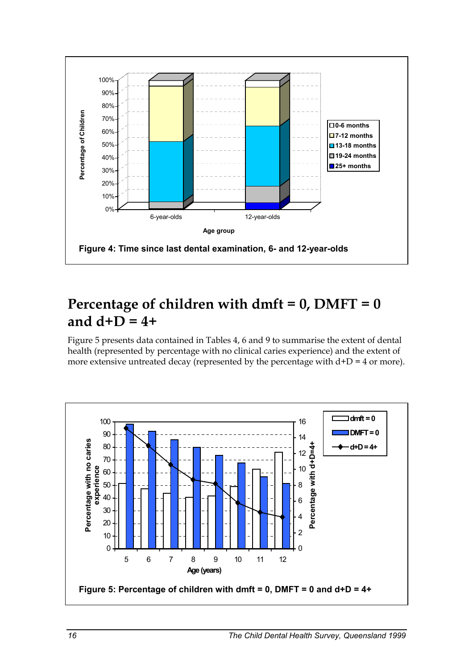

### **Percentage of children with dmft = 0, DMFT = 0 and d+D = 4+**

Figure 5 presents data contained in Tables 4, 6 and 9 to summarise the extent of dental health (represented by percentage with no clinical caries experience) and the extent of more extensive untreated decay (represented by the percentage with  $d+D = 4$  or more).

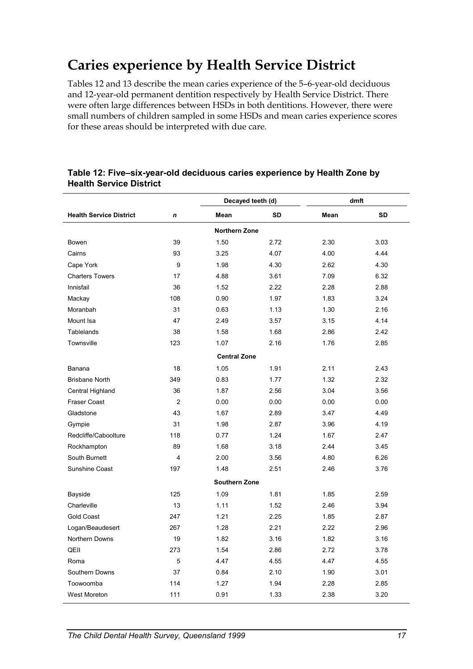# **Caries experience by Health Service District**

Tables 12 and 13 describe the mean caries experience of the 5–6-year-old deciduous and 12-year-old permanent dentition respectively by Health Service District. There were often large differences between HSDs in both dentitions. However, there were small numbers of children sampled in some HSDs and mean caries experience scores for these areas should be interpreted with due care.

|                                |                | Decayed teeth (d)    |           |      | dmft      |
|--------------------------------|----------------|----------------------|-----------|------|-----------|
| <b>Health Service District</b> | n              | Mean                 | <b>SD</b> | Mean | <b>SD</b> |
|                                |                | <b>Northern Zone</b> |           |      |           |
| Bowen                          | 39             | 1.50                 | 2.72      | 2.30 | 3.03      |
| Cairns                         | 93             | 3.25                 | 4.07      | 4.00 | 4.44      |
| Cape York                      | 9              | 1.98                 | 4.30      | 2.62 | 4.30      |
| <b>Charters Towers</b>         | 17             | 4.88                 | 3.61      | 7.09 | 6.32      |
| Innisfail                      | 36             | 1.52                 | 2.22      | 2.28 | 2.88      |
| Mackay                         | 108            | 0.90                 | 1.97      | 1.83 | 3.24      |
| Moranbah                       | 31             | 0.63                 | 1.13      | 1.30 | 2.16      |
| Mount Isa                      | 47             | 2.49                 | 3.57      | 3.15 | 4.14      |
| Tablelands                     | 38             | 1.58                 | 1.68      | 2.86 | 2.42      |
| Townsville                     | 123            | 1.07                 | 2.16      | 1.76 | 2.85      |
|                                |                | <b>Central Zone</b>  |           |      |           |
| Banana                         | 18             | 1.05                 | 1.91      | 2.11 | 2.43      |
| <b>Brisbane North</b>          | 349            | 0.83                 | 1.77      | 1.32 | 2.32      |
| Central Highland               | 36             | 1.87                 | 2.56      | 3.04 | 3.56      |
| <b>Fraser Coast</b>            | $\overline{2}$ | 0.00                 | 0.00      | 0.00 | 0.00      |
| Gladstone                      | 43             | 1.67                 | 2.89      | 3.47 | 4.49      |
| Gympie                         | 31             | 1.98                 | 2.87      | 3.96 | 4.19      |
| Redcliffe/Caboolture           | 118            | 0.77                 | 1.24      | 1.67 | 2.47      |
| Rockhampton                    | 89             | 1.68                 | 3.18      | 2.44 | 3.45      |
| South Burnett                  | $\overline{4}$ | 2.00                 | 3.56      | 4.80 | 6.26      |
| Sunshine Coast                 | 197            | 1.48                 | 2.51      | 2.46 | 3.76      |
|                                |                | <b>Southern Zone</b> |           |      |           |
| Bayside                        | 125            | 1.09                 | 1.81      | 1.85 | 2.59      |
| Charleville                    | 13             | 1.11                 | 1.52      | 2.46 | 3.94      |
| Gold Coast                     | 247            | 1.21                 | 2.25      | 1.85 | 2.87      |
| Logan/Beaudesert               | 267            | 1.28                 | 2.21      | 2.22 | 2.96      |
| Northern Downs                 | 19             | 1.82                 | 3.16      | 1.82 | 3.16      |
| QEII                           | 273            | 1.54                 | 2.86      | 2.72 | 3.78      |
| Roma                           | 5              | 4.47                 | 4.55      | 4.47 | 4.55      |
| Southern Downs                 | 37             | 0.84                 | 2.10      | 1.90 | 3.01      |
| Toowoomba                      | 114            | 1.27                 | 1.94      | 2.28 | 2.85      |
| West Moreton                   | 111            | 0.91                 | 1.33      | 2.38 | 3.20      |

#### **Table 12: Five–six-year-old deciduous caries experience by Health Zone by Health Service District**